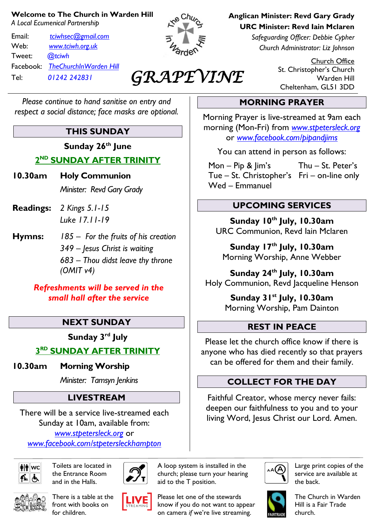#### **Welcome to The Church in Warden Hill**

*A Local Ecumenical Partnership*

Email: *[tciwhsec@gmail.com](mailto:tciwhsec@gmail.com)* Web: *[www.tciwh.org.uk](http://www.tciwh.org.uk/)* Tweet: *@tciwh* Facebook: *TheChurchInWarden Hill* Tel: *01242 242831*



# *GRAPEVINE*

**Anglican Minister: Revd Gary Grady URC Minister: Revd Iain Mclaren**

**MORNING PRAYER**

Morning Prayer is live-streamed at 9am each morning (Mon-Fri) from *[www.stpetersleck.org](http://www.stpetersleck.org/)* or *[www.facebook.com/pipandjims](http://www.facebook.com/pipandjims)*

You can attend in person as follows:

 Mon – Pip & Jim's Thu – St. Peter's Tue – St. Christopher's Fri – on-line only

*Safeguarding Officer: Debbie Cypher Church Administrator: Liz Johnson*

> Church Office St. Christopher's Church Warden Hill Cheltenham, GL51 3DD

#### *Please continue to hand sanitise on entry and respect a social distance; face masks are optional.*

# **THIS SUNDAY**

**Sunday 26th June**

**2 ND SUNDAY AFTER TRINITY** 

- **10.30am Holy Communion** *Minister: Revd Gary Grady*
- **Readings:** *2 Kings 5.1-15 Luke 17.11-19*
- **Hymns:** *185 – For the fruits of his creation 349 – Jesus Christ is waiting 683 – Thou didst leave thy throne (OMIT v4)*

#### *Refreshments will be served in the small hall after the service*

## **NEXT SUNDAY**

**Sunday 3 rd July**

**3 RD SUNDAY AFTER TRINITY** 

**10.30am Morning Worship**

*Minister: Tamsyn Jenkins*

# **LIVESTREAM**

There will be a service live-streamed each Sunday at 10am, available from: *[www.stpetersleck.org](http://www.stpetersleck.org/)* or *[www.facebook.com/stpetersleckhampton](http://www.facebook.com/stpetersleckhampton)*



Toilets are located in the Entrance Room and in the Halls.

There is a table at the front with books on for children.



A loop system is installed in the church; please turn your hearing aid to the T position.



Please let one of the stewards know if you do not want to appear on camera *if* we're live streaming.



Large print copies of the service are available at the back.



The Church in Warden Hill is a Fair Trade church.

**UPCOMING SERVICES Sunday 10th July, 10.30am** URC Communion, Revd Iain Mclaren

Wed – Emmanuel

**Sunday 17 th July, 10.30am** Morning Worship, Anne Webber

**Sunday 24 th July, 10.30am** Holy Communion, Revd Jacqueline Henson

> **Sunday 31 st July, 10.30am** Morning Worship, Pam Dainton

## **REST IN PEACE**

Please let the church office know if there is anyone who has died recently so that prayers can be offered for them and their family.

## **COLLECT FOR THE DAY**

Faithful Creator, whose mercy never fails: deepen our faithfulness to you and to your living Word, Jesus Christ our Lord. Amen.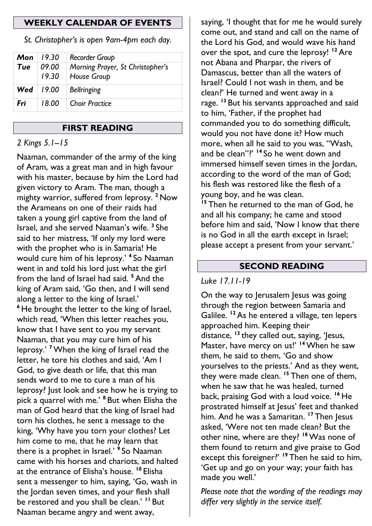#### **WEEKLY CALENDAR OF EVENTS**

*St. Christopher's is open 9am-4pm each day.*

|     | <b>Mon</b> 19.30   Recorder Group                                          |
|-----|----------------------------------------------------------------------------|
|     | <b>Tue</b>   09.00   Morning Prayer, St Christopher's<br>19.30 House Group |
|     | Wed   19.00   Bellringing                                                  |
| Fri | 18.00 Choir Practice                                                       |

#### **FIRST READING**

#### *2 Kings 5.1--15*

Naaman, commander of the army of the king of Aram, was a great man and in high favour with his master, because by him the Lord had given victory to Aram. The man, though a mighty warrior, suffered from leprosy. **<sup>2</sup>** Now the Arameans on one of their raids had taken a young girl captive from the land of Israel, and she served Naaman's wife. **<sup>3</sup>** She said to her mistress, 'If only my lord were with the prophet who is in Samaria! He would cure him of his leprosy.' **<sup>4</sup>** So Naaman went in and told his lord just what the girl from the land of Israel had said. **<sup>5</sup>**And the king of Aram said, 'Go then, and I will send along a letter to the king of Israel.' **<sup>6</sup>** He brought the letter to the king of Israel, which read, 'When this letter reaches you, know that I have sent to you my servant Naaman, that you may cure him of his leprosy.' **<sup>7</sup>**When the king of Israel read the letter, he tore his clothes and said, 'Am I God, to give death or life, that this man sends word to me to cure a man of his leprosy? Just look and see how he is trying to pick a quarrel with me.' **<sup>8</sup>** But when Elisha the man of God heard that the king of Israel had torn his clothes, he sent a message to the king, 'Why have you torn your clothes? Let him come to me, that he may learn that there is a prophet in Israel.' **9** So Naaman came with his horses and chariots, and halted at the entrance of Elisha's house. **<sup>10</sup>** Elisha sent a messenger to him, saying, 'Go, wash in the Jordan seven times, and your flesh shall be restored and you shall be clean.' **<sup>11</sup>** But Naaman became angry and went away,

saying, 'I thought that for me he would surely come out, and stand and call on the name of the Lord his God, and would wave his hand over the spot, and cure the leprosy! **<sup>12</sup>** Are not Abana and Pharpar, the rivers of Damascus, better than all the waters of Israel? Could I not wash in them, and be clean?' He turned and went away in a rage. **<sup>13</sup>** But his servants approached and said to him, 'Father, if the prophet had commanded you to do something difficult, would you not have done it? How much more, when all he said to you was, "Wash, and be clean"?' **<sup>14</sup>** So he went down and immersed himself seven times in the Jordan, according to the word of the man of God; his flesh was restored like the flesh of a young boy, and he was clean.

<sup>15</sup> Then he returned to the man of God, he and all his company; he came and stood before him and said, 'Now I know that there is no God in all the earth except in Israel; please accept a present from your servant.'

#### **SECOND READING**

#### *Luke 17.11-19*

On the way to Jerusalem Jesus was going through the region between Samaria and Galilee. <sup>12</sup> As he entered a village, ten lepers approached him. Keeping their distance, **<sup>13</sup>** they called out, saying, 'Jesus, Master, have mercy on us!' **<sup>14</sup>**When he saw them, he said to them, 'Go and show yourselves to the priests.' And as they went, they were made clean. **<sup>15</sup>** Then one of them, when he saw that he was healed, turned back, praising God with a loud voice. **<sup>16</sup>** He prostrated himself at Jesus' feet and thanked him. And he was a Samaritan. **<sup>17</sup>** Then Jesus asked, 'Were not ten made clean? But the other nine, where are they? **<sup>18</sup>**Was none of them found to return and give praise to God except this foreigner?' **<sup>19</sup>** Then he said to him, 'Get up and go on your way; your faith has made you well.'

*Please note that the wording of the readings may differ very slightly in the service itself.*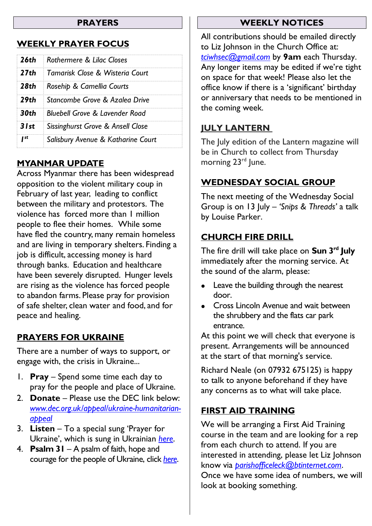#### **PRAYERS**

## **WEEKLY PRAYER FOCUS**

|      | <b>26th</b> Rothermere & Lilac Closes         |  |
|------|-----------------------------------------------|--|
|      | <b>27th</b> Tamarisk Close & Wisteria Court   |  |
|      | <b>28th</b> Rosehip & Camellia Courts         |  |
|      | <b>29th</b> Stancombe Grove & Azalea Drive    |  |
|      | <b>30th</b> Bluebell Grove & Lavender Road    |  |
|      | <b>31st</b> Sissinghurst Grove & Ansell Close |  |
| I st | Salisbury Avenue & Katharine Court            |  |

## **MYANMAR UPDATE**

Across Myanmar there has been widespread opposition to the violent military coup in February of last year, leading to conflict between the military and protestors. The violence has forced more than 1 million people to flee their homes. While some have fled the country, many remain homeless and are living in temporary shelters. Finding a job is difficult, accessing money is hard through banks. Education and healthcare have been severely disrupted. Hunger levels are rising as the violence has forced people to abandon farms. Please pray for provision of safe shelter, clean water and food, and for peace and healing.

## **PRAYERS FOR UKRAINE**

There are a number of ways to support, or engage with, the crisis in Ukraine...

- 1. **Pray** Spend some time each day to pray for the people and place of Ukraine.
- 2. **Donate** Please use the DEC link below: *[www.dec.org.uk/appeal/ukraine-humanitarian](http://www.dec.org.uk/appeal/ukraine-humanitarian-appeal)[appeal](http://www.dec.org.uk/appeal/ukraine-humanitarian-appeal)*
- 3. **Listen** To a special sung 'Prayer for Ukraine', which is sung in Ukrainian *[here](https://stpetersleck.org/wp-content/uploads/2022/03/Prayer-for-Ukraine_St-Peters-Choir_MP3.mp3)*.
- 4. **Psalm 31** A psalm of faith, hope and courage for the people of Ukraine, click *[here](https://stpetersleck.org/psalm_31_ukraine-720p/)*.

#### **WEEKLY NOTICES**

All contributions should be emailed directly to Liz Johnson in the Church Office at: *[tciwhsec@gmail.com](mailto:tciwhsec@gmail.com)* by **9am** each Thursday. Any longer items may be edited if we're tight on space for that week! Please also let the office know if there is a 'significant' birthday or anniversary that needs to be mentioned in the coming week.

## **JULY LANTERN**

The July edition of the Lantern magazine will be in Church to collect from Thursday morning 23<sup>rd</sup> June.

## **WEDNESDAY SOCIAL GROUP**

The next meeting of the Wednesday Social Group is on 13 July – *'Snips & Threads'* a talk by Louise Parker.

## **CHURCH FIRE DRILL**

The fire drill will take place on **Sun 3 rd July** immediately after the morning service. At the sound of the alarm, please:

- Leave the building through the nearest door.
- Cross Lincoln Avenue and wait between the shrubbery and the flats car park entrance.

At this point we will check that everyone is present. Arrangements will be announced at the start of that morning's service.

Richard Neale (on 07932 675125) is happy to talk to anyone beforehand if they have any concerns as to what will take place.

## **FIRST AID TRAINING**

We will be arranging a First Aid Training course in the team and are looking for a rep from each church to attend. If you are interested in attending, please let Liz Johnson know via *[parishofficeleck@btinternet.com](mailto:parishofficeleck@btinternet.com)*. Once we have some idea of numbers, we will look at booking something.